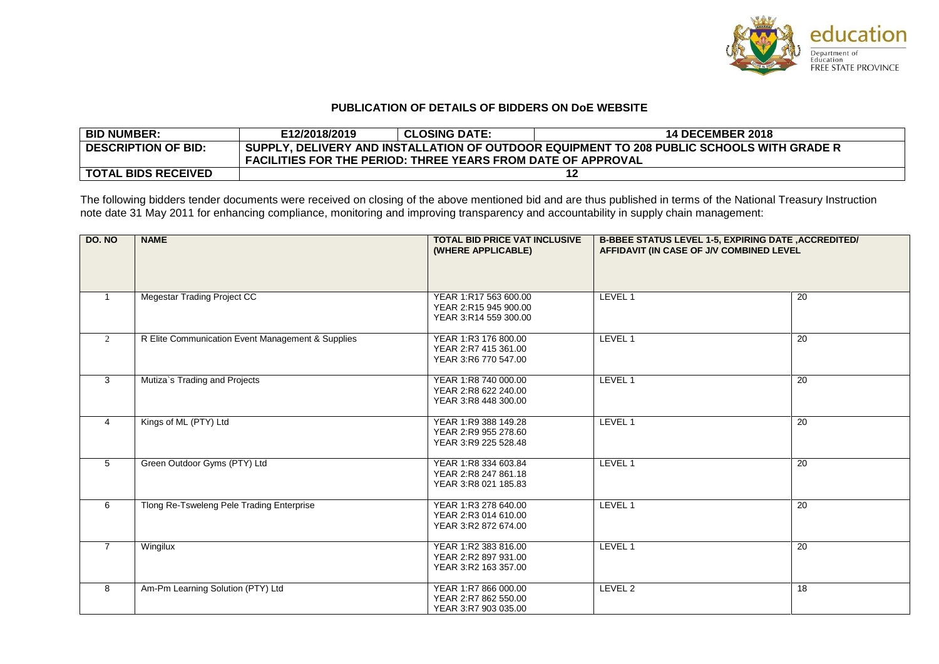

## **PUBLICATION OF DETAILS OF BIDDERS ON DoE WEBSITE**

| <b>BID NUMBER:</b>         | E12/2018/2019                                                                             | <b>CLOSING DATE:</b> | <b>14 DECEMBER 2018</b> |  |
|----------------------------|-------------------------------------------------------------------------------------------|----------------------|-------------------------|--|
| <b>DESCRIPTION OF BID:</b> | SUPPLY, DELIVERY AND INSTALLATION OF OUTDOOR EQUIPMENT TO 208 PUBLIC SCHOOLS WITH GRADE R |                      |                         |  |
|                            | <b>FACILITIES FOR THE PERIOD: THREE YEARS FROM DATE OF APPROVAL</b>                       |                      |                         |  |
| <b>TOTAL BIDS RECEIVED</b> |                                                                                           |                      |                         |  |

The following bidders tender documents were received on closing of the above mentioned bid and are thus published in terms of the National Treasury Instruction note date 31 May 2011 for enhancing compliance, monitoring and improving transparency and accountability in supply chain management:

| <b>DO. NO</b>  | <b>NAME</b>                                       | <b>TOTAL BID PRICE VAT INCLUSIVE</b><br>(WHERE APPLICABLE)              | <b>B-BBEE STATUS LEVEL 1-5, EXPIRING DATE , ACCREDITED/</b><br>AFFIDAVIT (IN CASE OF J/V COMBINED LEVEL |                 |
|----------------|---------------------------------------------------|-------------------------------------------------------------------------|---------------------------------------------------------------------------------------------------------|-----------------|
| $\mathbf{1}$   | <b>Megestar Trading Project CC</b>                | YEAR 1:R17 563 600.00<br>YEAR 2:R15 945 900.00<br>YEAR 3:R14 559 300.00 | LEVEL 1                                                                                                 | 20              |
| 2              | R Elite Communication Event Management & Supplies | YEAR 1:R3 176 800.00<br>YEAR 2:R7 415 361.00<br>YEAR 3:R6 770 547.00    | LEVEL 1                                                                                                 | 20              |
| $\mathbf{3}$   | Mutiza's Trading and Projects                     | YEAR 1:R8 740 000.00<br>YEAR 2:R8 622 240.00<br>YEAR 3:R8 448 300.00    | LEVEL 1                                                                                                 | 20              |
| $\overline{4}$ | Kings of ML (PTY) Ltd                             | YEAR 1:R9 388 149.28<br>YEAR 2:R9 955 278.60<br>YEAR 3:R9 225 528.48    | LEVEL 1                                                                                                 | 20              |
| 5              | Green Outdoor Gyms (PTY) Ltd                      | YEAR 1:R8 334 603.84<br>YEAR 2:R8 247 861.18<br>YEAR 3:R8 021 185.83    | LEVEL 1                                                                                                 | 20              |
| 6              | Tlong Re-Tsweleng Pele Trading Enterprise         | YEAR 1:R3 278 640.00<br>YEAR 2:R3 014 610.00<br>YEAR 3:R2 872 674.00    | LEVEL 1                                                                                                 | $\overline{20}$ |
| $\overline{7}$ | Wingilux                                          | YEAR 1:R2 383 816.00<br>YEAR 2:R2 897 931.00<br>YEAR 3:R2 163 357.00    | LEVEL 1                                                                                                 | 20              |
| 8              | Am-Pm Learning Solution (PTY) Ltd                 | YEAR 1:R7 866 000.00<br>YEAR 2:R7 862 550.00<br>YEAR 3:R7 903 035.00    | LEVEL 2                                                                                                 | 18              |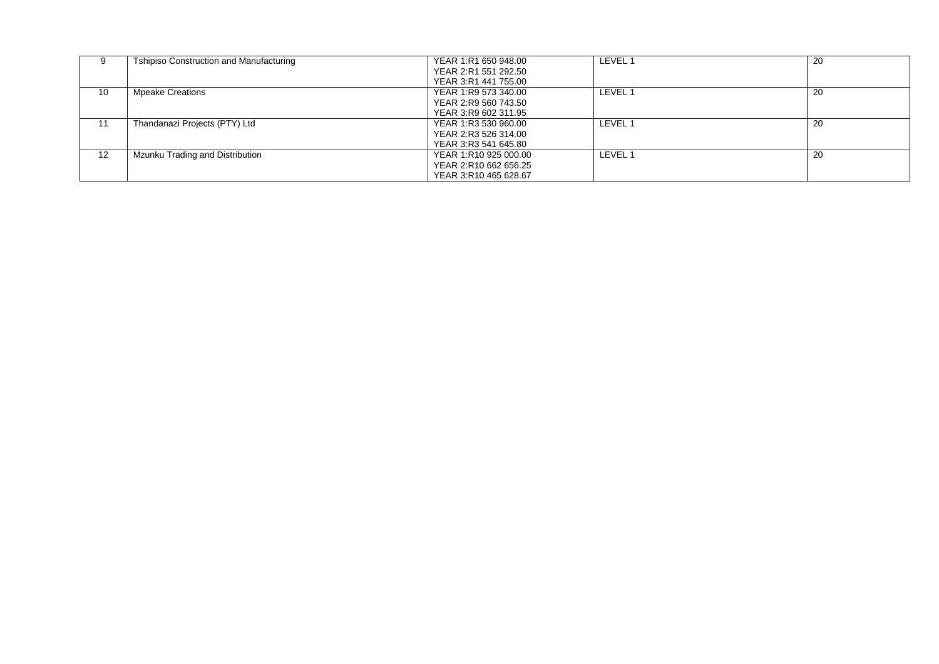| 9                 | <b>Tshipiso Construction and Manufacturing</b> | YEAR 1:R1 650 948.00  | LEVEL 1 | 20 |
|-------------------|------------------------------------------------|-----------------------|---------|----|
|                   |                                                | YEAR 2:R1 551 292.50  |         |    |
|                   |                                                | YEAR 3:R1 441 755.00  |         |    |
| 10                | <b>Mpeake Creations</b>                        | YEAR 1:R9 573 340.00  | LEVEL 1 | 20 |
|                   |                                                | YEAR 2:R9 560 743.50  |         |    |
|                   |                                                | YEAR 3:R9 602 311.95  |         |    |
| 11                | Thandanazi Projects (PTY) Ltd                  | YEAR 1:R3 530 960.00  | LEVEL 1 | 20 |
|                   |                                                | YEAR 2:R3 526 314.00  |         |    |
|                   |                                                | YEAR 3:R3 541 645.80  |         |    |
| $12 \overline{ }$ | Mzunku Trading and Distribution                | YEAR 1:R10 925 000.00 | LEVEL 1 | 20 |
|                   |                                                | YEAR 2:R10 662 656.25 |         |    |
|                   |                                                | YEAR 3:R10 465 628.67 |         |    |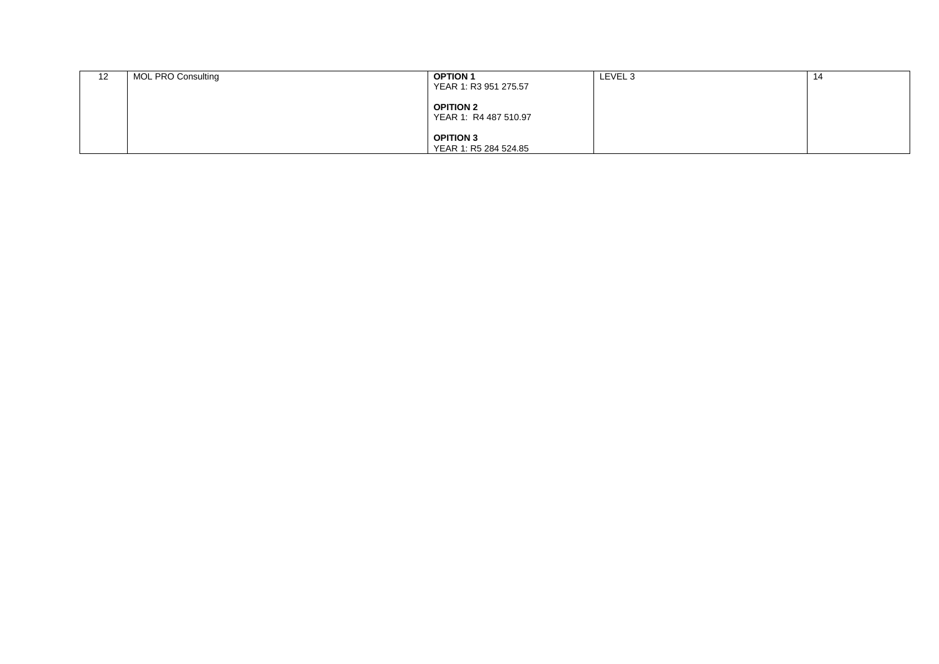| 12 | MOL PRO Consulting | <b>OPTION 1</b><br>YEAR 1: R3 951 275.57  | LEVEL 3 | 14 |
|----|--------------------|-------------------------------------------|---------|----|
|    |                    | <b>OPITION 2</b><br>YEAR 1: R4 487 510.97 |         |    |
|    |                    | <b>OPITION 3</b><br>YEAR 1: R5 284 524.85 |         |    |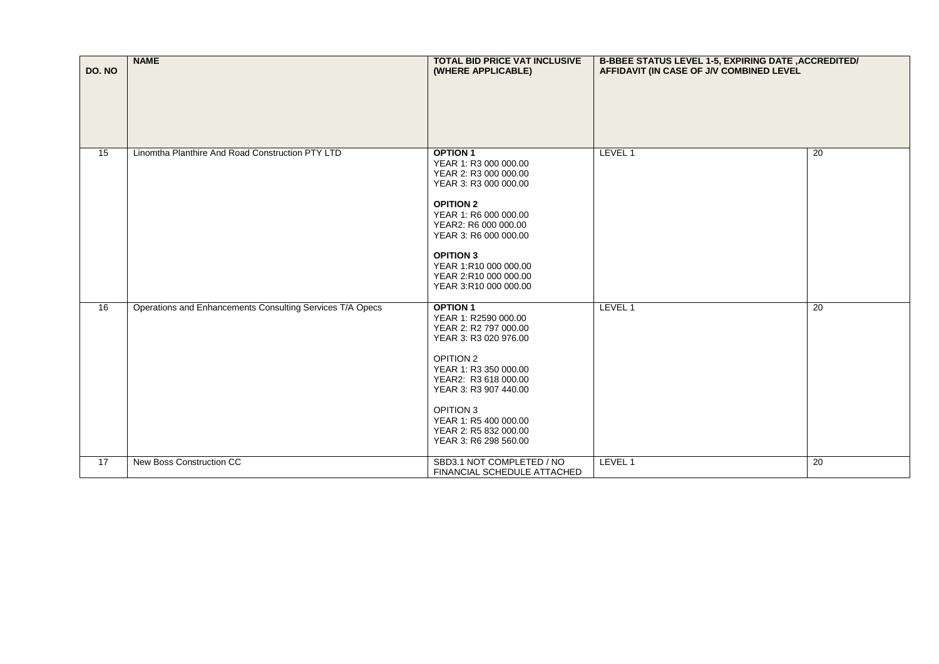| DO. NO          | <b>NAME</b>                                               | <b>TOTAL BID PRICE VAT INCLUSIVE</b><br>(WHERE APPLICABLE)                                                                                                                                                                                                                              | <b>B-BBEE STATUS LEVEL 1-5, EXPIRING DATE , ACCREDITED/</b><br>AFFIDAVIT (IN CASE OF J/V COMBINED LEVEL |                 |
|-----------------|-----------------------------------------------------------|-----------------------------------------------------------------------------------------------------------------------------------------------------------------------------------------------------------------------------------------------------------------------------------------|---------------------------------------------------------------------------------------------------------|-----------------|
|                 |                                                           |                                                                                                                                                                                                                                                                                         |                                                                                                         |                 |
| $\overline{15}$ | Linomtha Planthire And Road Construction PTY LTD          | <b>OPTION 1</b><br>YEAR 1: R3 000 000.00<br>YEAR 2: R3 000 000.00<br>YEAR 3: R3 000 000.00<br><b>OPITION 2</b><br>YEAR 1: R6 000 000.00<br>YEAR2: R6 000 000.00<br>YEAR 3: R6 000 000.00<br><b>OPITION 3</b><br>YEAR 1:R10 000 000.00<br>YEAR 2:R10 000 000.00<br>YEAR 3:R10 000 000.00 | LEVEL 1                                                                                                 | 20              |
| 16              | Operations and Enhancements Consulting Services T/A Opecs | <b>OPTION 1</b><br>YEAR 1: R2590 000.00<br>YEAR 2: R2 797 000.00<br>YEAR 3: R3 020 976.00<br><b>OPITION 2</b><br>YEAR 1: R3 350 000.00<br>YEAR2: R3 618 000.00<br>YEAR 3: R3 907 440.00<br><b>OPITION 3</b><br>YEAR 1: R5 400 000.00<br>YEAR 2: R5 832 000.00<br>YEAR 3: R6 298 560.00  | LEVEL 1                                                                                                 | 20              |
| 17              | New Boss Construction CC                                  | SBD3.1 NOT COMPLETED / NO<br>FINANCIAL SCHEDULE ATTACHED                                                                                                                                                                                                                                | LEVEL 1                                                                                                 | $\overline{20}$ |